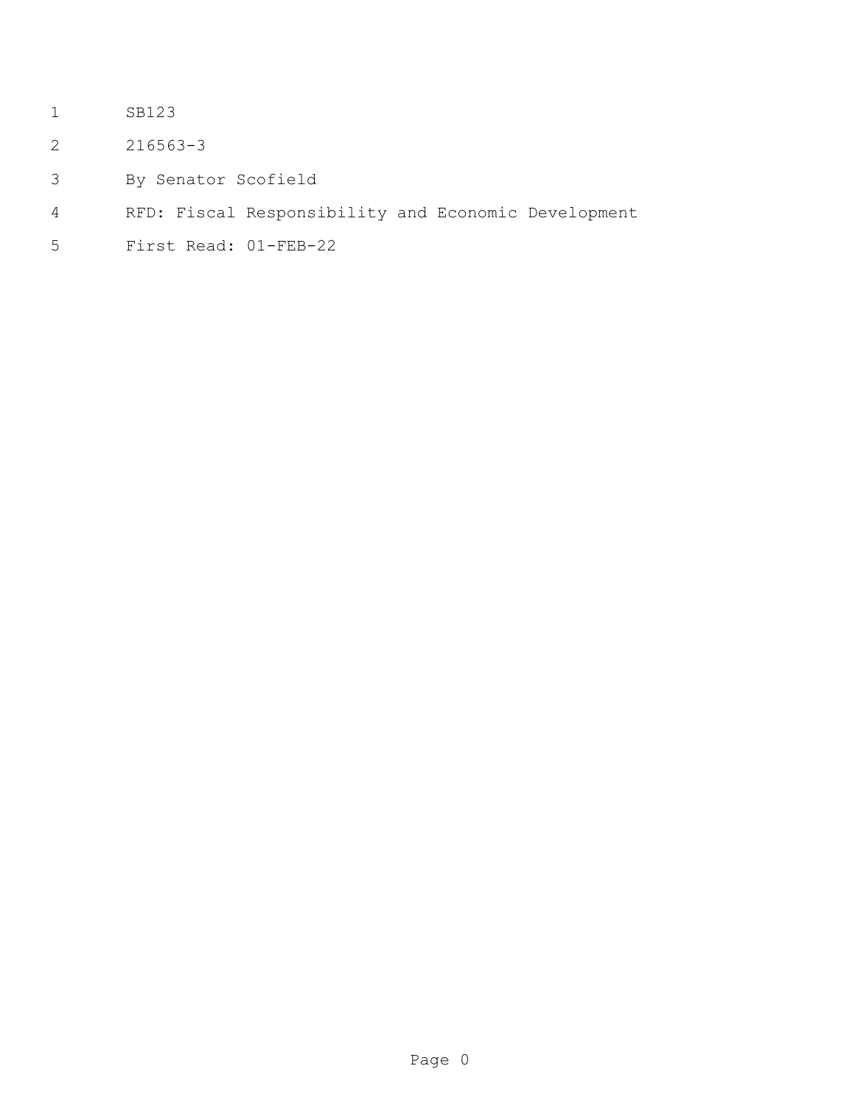- SB123
- 216563-3
- By Senator Scofield
- RFD: Fiscal Responsibility and Economic Development
- First Read: 01-FEB-22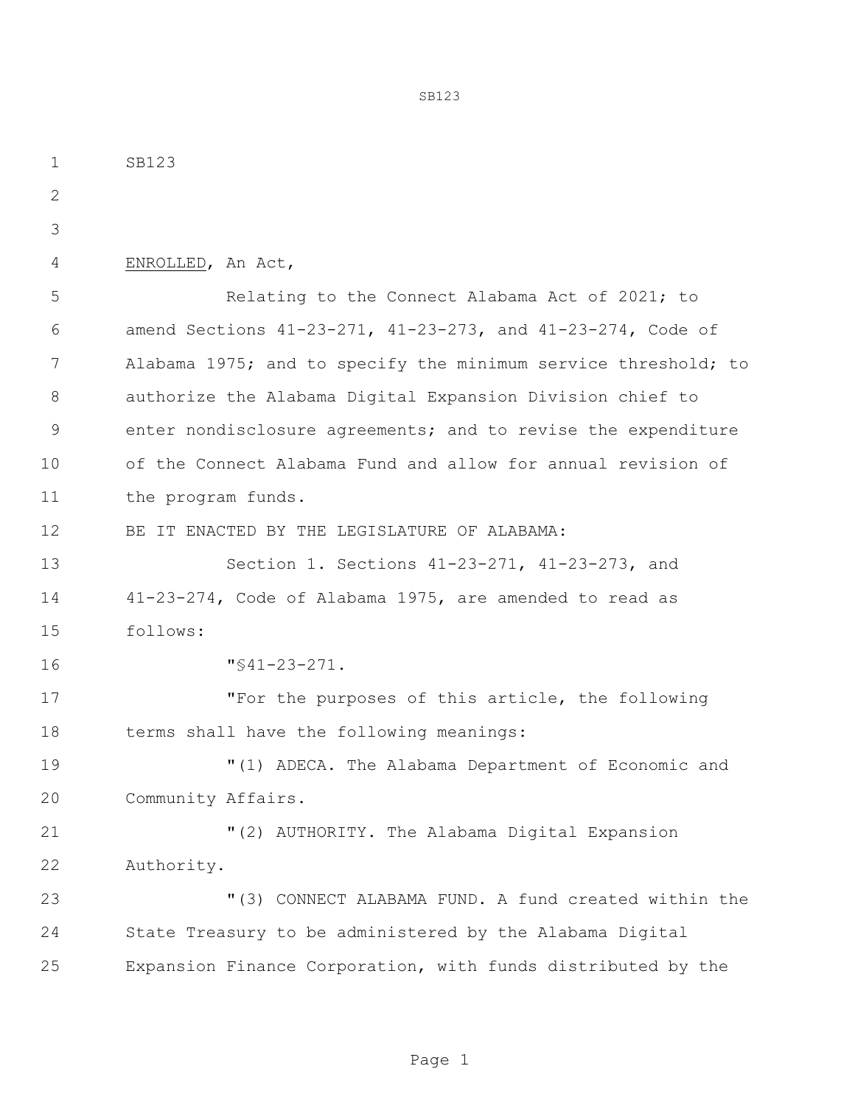SB123 ENROLLED, An Act, Relating to the Connect Alabama Act of 2021; to amend Sections 41-23-271, 41-23-273, and 41-23-274, Code of Alabama 1975; and to specify the minimum service threshold; to authorize the Alabama Digital Expansion Division chief to enter nondisclosure agreements; and to revise the expenditure of the Connect Alabama Fund and allow for annual revision of 11 the program funds. BE IT ENACTED BY THE LEGISLATURE OF ALABAMA: Section 1. Sections 41-23-271, 41-23-273, and 41-23-274, Code of Alabama 1975, are amended to read as follows: "§41-23-271. "For the purposes of this article, the following 18 terms shall have the following meanings: "(1) ADECA. The Alabama Department of Economic and Community Affairs. "(2) AUTHORITY. The Alabama Digital Expansion Authority. "(3) CONNECT ALABAMA FUND. A fund created within the State Treasury to be administered by the Alabama Digital Expansion Finance Corporation, with funds distributed by the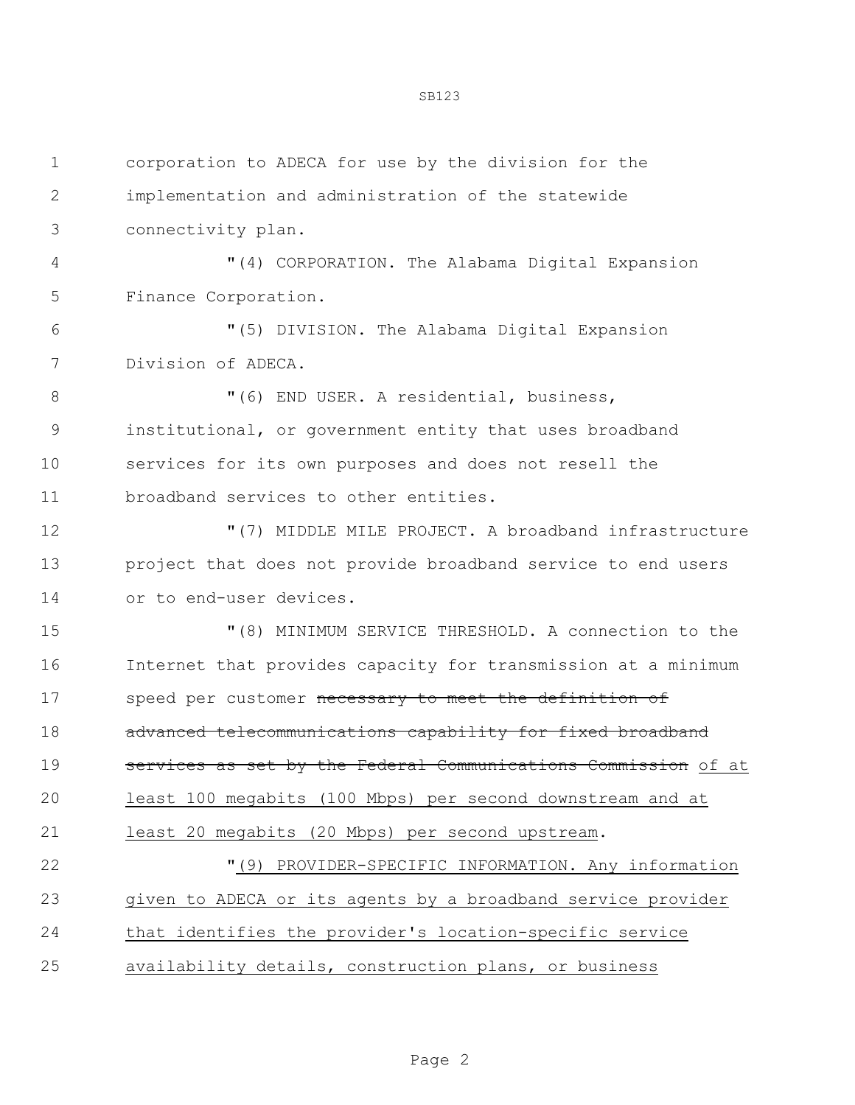| $\mathbf 1$ | corporation to ADECA for use by the division for the           |
|-------------|----------------------------------------------------------------|
| 2           | implementation and administration of the statewide             |
| 3           | connectivity plan.                                             |
| 4           | "(4) CORPORATION. The Alabama Digital Expansion                |
| 5           | Finance Corporation.                                           |
| 6           | "(5) DIVISION. The Alabama Digital Expansion                   |
| 7           | Division of ADECA.                                             |
| 8           | "(6) END USER. A residential, business,                        |
| 9           | institutional, or government entity that uses broadband        |
| 10          | services for its own purposes and does not resell the          |
| 11          | broadband services to other entities.                          |
| 12          | "(7) MIDDLE MILE PROJECT. A broadband infrastructure           |
| 13          | project that does not provide broadband service to end users   |
| 14          | or to end-user devices.                                        |
| 15          | "(8) MINIMUM SERVICE THRESHOLD. A connection to the            |
| 16          | Internet that provides capacity for transmission at a minimum  |
| 17          | speed per customer necessary to meet the definition of         |
| 18          | advanced telecommunications capability for fixed broadband     |
| 19          | services as set by the Federal Communications Commission of at |
| 20          | least 100 megabits (100 Mbps) per second downstream and at     |
| 21          | least 20 megabits (20 Mbps) per second upstream.               |
| 22          | PROVIDER-SPECIFIC INFORMATION. Any information<br>"(9)         |
| 23          | given to ADECA or its agents by a broadband service provider   |
| 24          | that identifies the provider's location-specific service       |
| 25          | availability details, construction plans, or business          |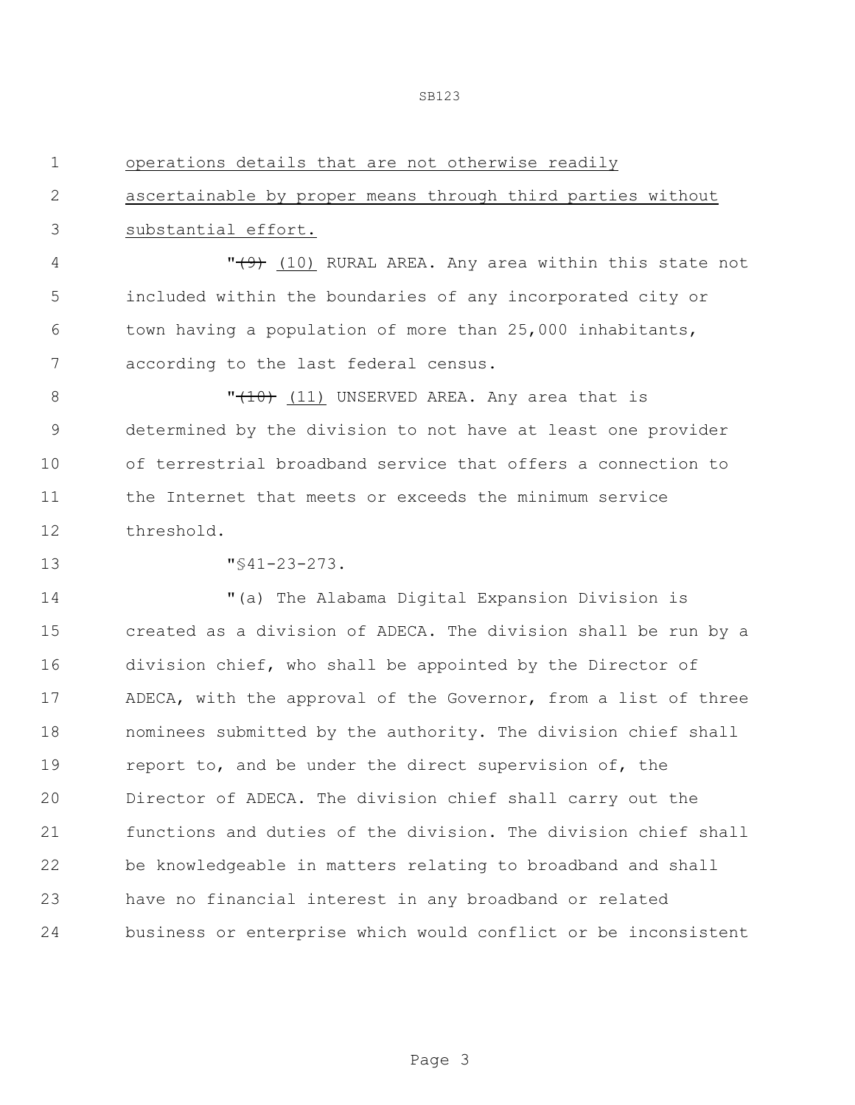ascertainable by proper means through third parties without

| 3              | substantial effort.                                            |
|----------------|----------------------------------------------------------------|
| $\overline{4}$ | " $(9)$ (10) RURAL AREA. Any area within this state not        |
| 5              | included within the boundaries of any incorporated city or     |
| 6              | town having a population of more than 25,000 inhabitants,      |
| 7              | according to the last federal census.                          |
| 8              | " $(10)$ (11) UNSERVED AREA. Any area that is                  |
| 9              | determined by the division to not have at least one provider   |
| 10             | of terrestrial broadband service that offers a connection to   |
| 11             | the Internet that meets or exceeds the minimum service         |
| 12             | threshold.                                                     |
| 13             | $"$ \$41-23-273.                                               |
| 14             | "(a) The Alabama Digital Expansion Division is                 |
| 15             | created as a division of ADECA. The division shall be run by a |
| 16             | division chief, who shall be appointed by the Director of      |
| 17             | ADECA, with the approval of the Governor, from a list of three |
| 18             | nominees submitted by the authority. The division chief shall  |
| 19             | report to, and be under the direct supervision of, the         |
| 20             | Director of ADECA. The division chief shall carry out the      |
| 21             | functions and duties of the division. The division chief shall |
| 22             | be knowledgeable in matters relating to broadband and shall    |
| 23             | have no financial interest in any broadband or related         |

operations details that are not otherwise readily

business or enterprise which would conflict or be inconsistent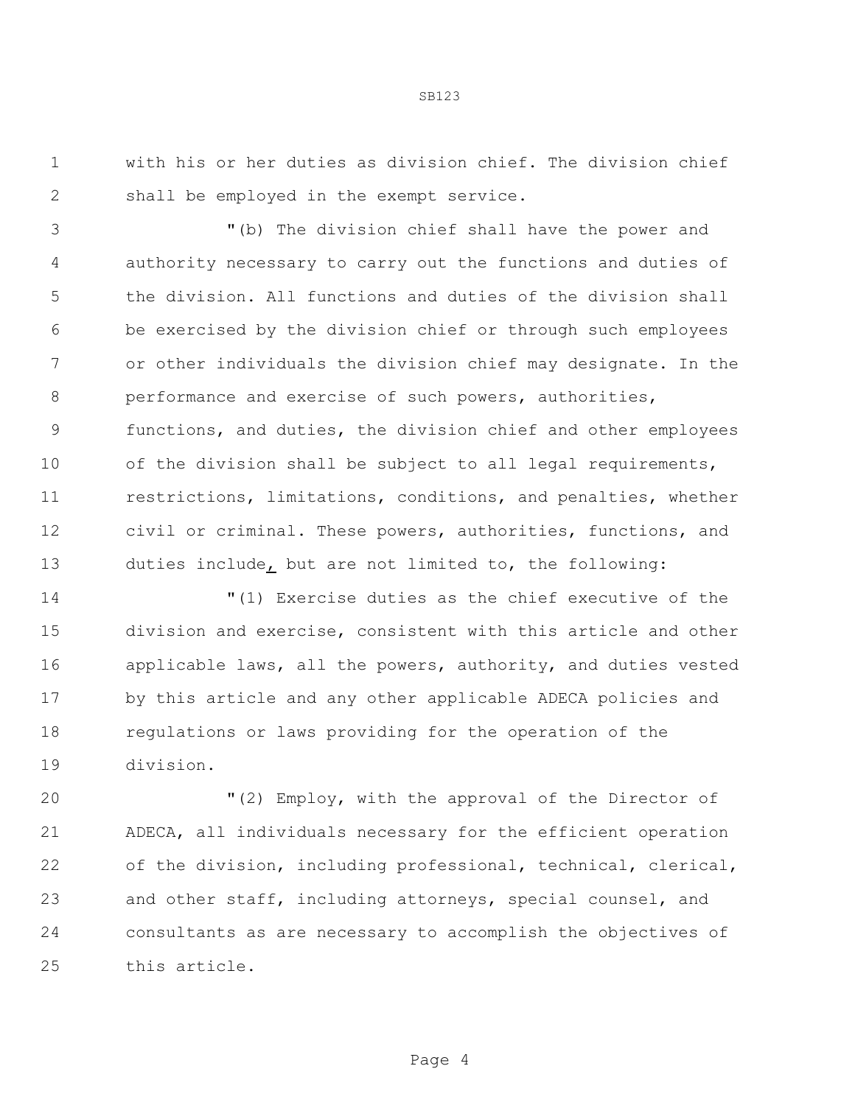with his or her duties as division chief. The division chief shall be employed in the exempt service.

 "(b) The division chief shall have the power and authority necessary to carry out the functions and duties of the division. All functions and duties of the division shall be exercised by the division chief or through such employees or other individuals the division chief may designate. In the performance and exercise of such powers, authorities, functions, and duties, the division chief and other employees 10 of the division shall be subject to all legal requirements, restrictions, limitations, conditions, and penalties, whether civil or criminal. These powers, authorities, functions, and duties include, but are not limited to, the following:

 "(1) Exercise duties as the chief executive of the division and exercise, consistent with this article and other 16 applicable laws, all the powers, authority, and duties vested by this article and any other applicable ADECA policies and regulations or laws providing for the operation of the division.

 "(2) Employ, with the approval of the Director of ADECA, all individuals necessary for the efficient operation of the division, including professional, technical, clerical, and other staff, including attorneys, special counsel, and consultants as are necessary to accomplish the objectives of this article.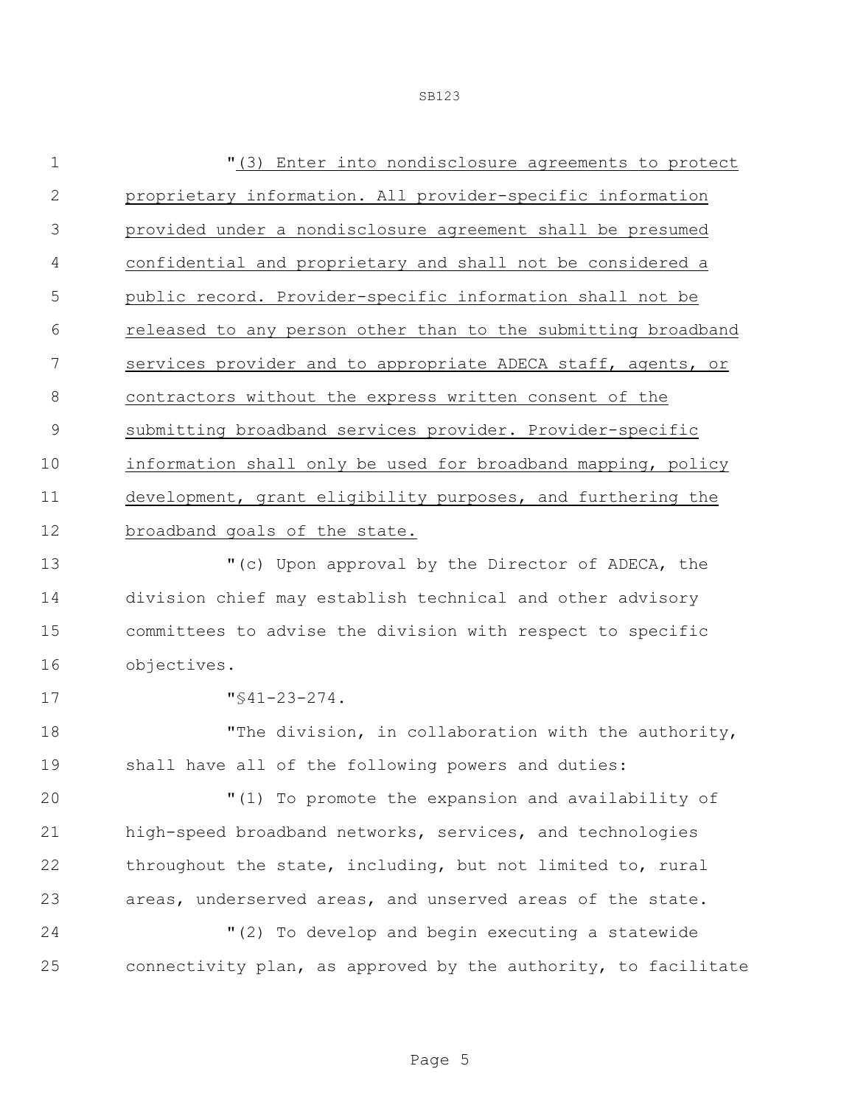| 1             | "(3) Enter into nondisclosure agreements to protect            |
|---------------|----------------------------------------------------------------|
| $\mathbf{2}$  | proprietary information. All provider-specific information     |
| 3             | provided under a nondisclosure agreement shall be presumed     |
| 4             | confidential and proprietary and shall not be considered a     |
| 5             | public record. Provider-specific information shall not be      |
| 6             | released to any person other than to the submitting broadband  |
| 7             | services provider and to appropriate ADECA staff, agents, or   |
| $8\,$         | contractors without the express written consent of the         |
| $\mathcal{G}$ | submitting broadband services provider. Provider-specific      |
| 10            | information shall only be used for broadband mapping, policy   |
| 11            | development, grant eligibility purposes, and furthering the    |
| 12            | broadband goals of the state.                                  |
| 13            | "(c) Upon approval by the Director of ADECA, the               |
| 14            | division chief may establish technical and other advisory      |
| 15            | committees to advise the division with respect to specific     |
| 16            | objectives.                                                    |
| 17            | $"$ \$41-23-274.                                               |
| 18            | "The division, in collaboration with the authority,            |
| 19            | shall have all of the following powers and duties:             |
| 20            | "(1) To promote the expansion and availability of              |
| 21            | high-speed broadband networks, services, and technologies      |
| 22            | throughout the state, including, but not limited to, rural     |
| 23            | areas, underserved areas, and unserved areas of the state.     |
| 24            | "(2) To develop and begin executing a statewide                |
| 25            | connectivity plan, as approved by the authority, to facilitate |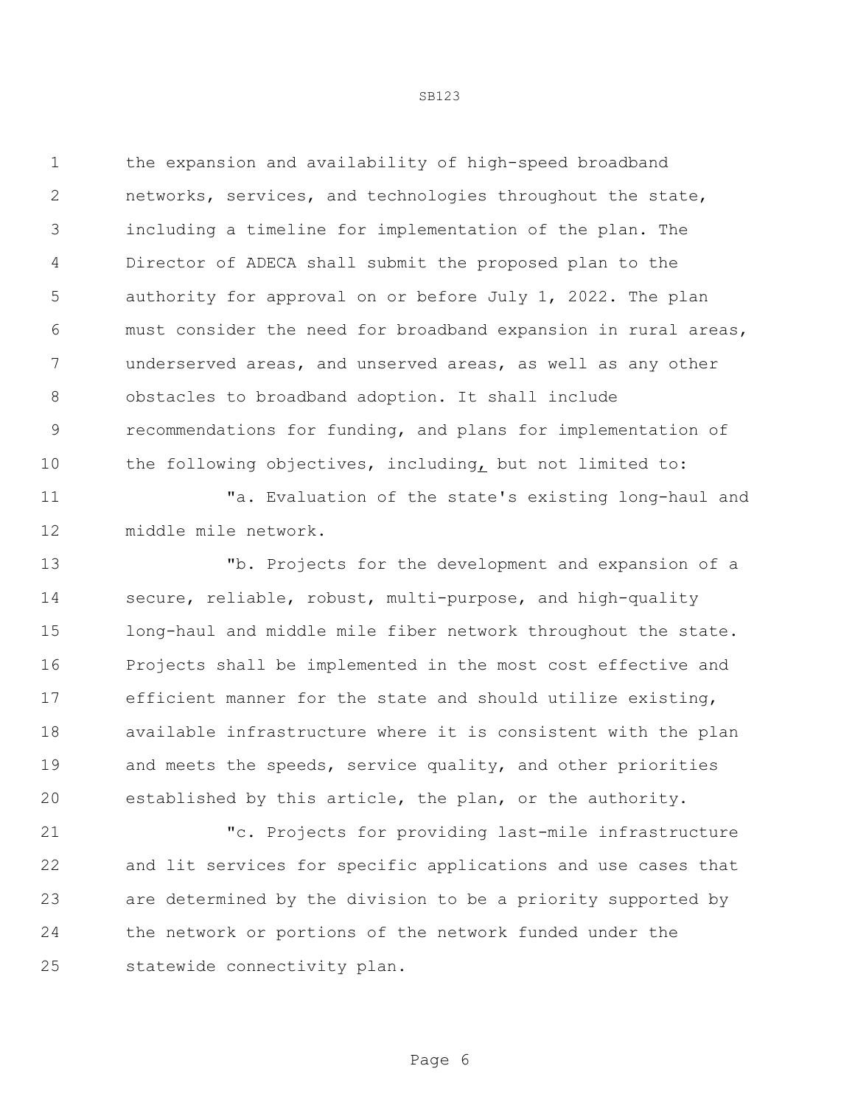the expansion and availability of high-speed broadband networks, services, and technologies throughout the state, including a timeline for implementation of the plan. The Director of ADECA shall submit the proposed plan to the authority for approval on or before July 1, 2022. The plan must consider the need for broadband expansion in rural areas, underserved areas, and unserved areas, as well as any other obstacles to broadband adoption. It shall include recommendations for funding, and plans for implementation of the following objectives, including, but not limited to:

 "a. Evaluation of the state's existing long-haul and middle mile network.

 "b. Projects for the development and expansion of a secure, reliable, robust, multi-purpose, and high-quality long-haul and middle mile fiber network throughout the state. Projects shall be implemented in the most cost effective and efficient manner for the state and should utilize existing, available infrastructure where it is consistent with the plan 19 and meets the speeds, service quality, and other priorities established by this article, the plan, or the authority.

 "c. Projects for providing last-mile infrastructure and lit services for specific applications and use cases that are determined by the division to be a priority supported by the network or portions of the network funded under the statewide connectivity plan.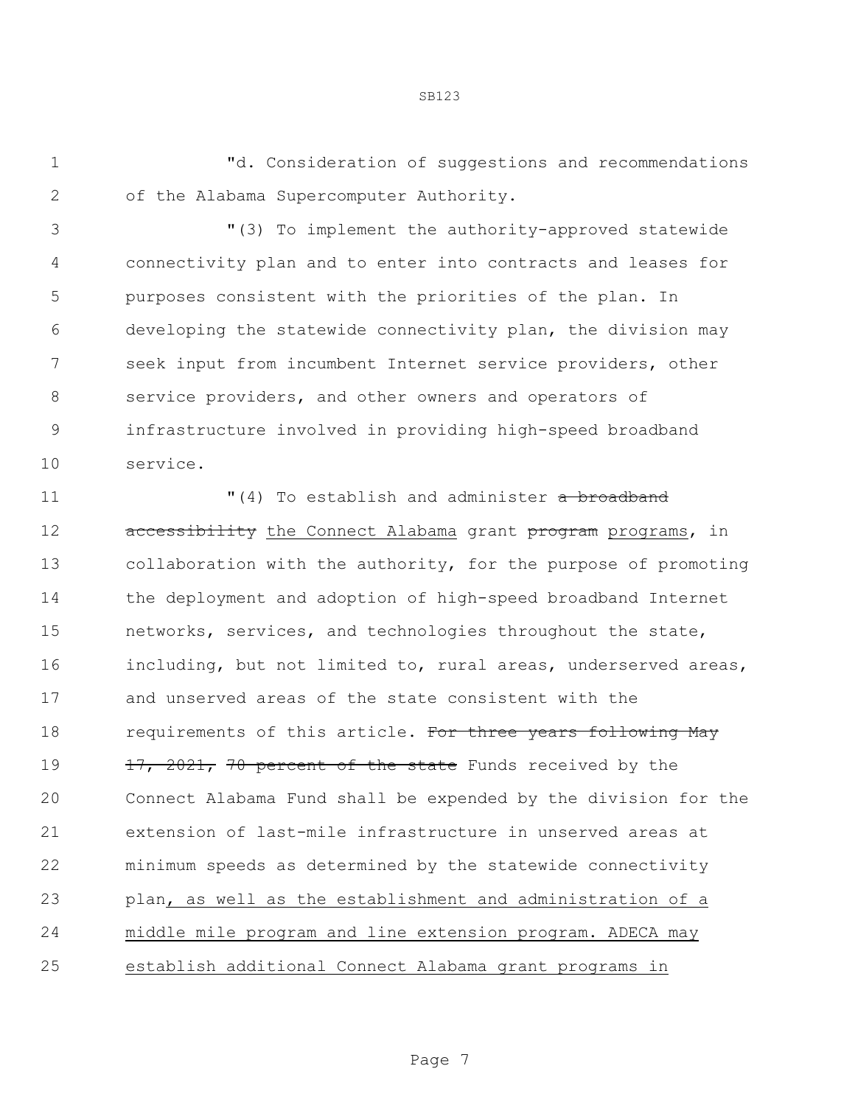"d. Consideration of suggestions and recommendations of the Alabama Supercomputer Authority.

 "(3) To implement the authority-approved statewide connectivity plan and to enter into contracts and leases for purposes consistent with the priorities of the plan. In developing the statewide connectivity plan, the division may seek input from incumbent Internet service providers, other service providers, and other owners and operators of infrastructure involved in providing high-speed broadband service.

11 The stablish and administer a broadband 12 accessibility the Connect Alabama grant program programs, in collaboration with the authority, for the purpose of promoting the deployment and adoption of high-speed broadband Internet networks, services, and technologies throughout the state, including, but not limited to, rural areas, underserved areas, and unserved areas of the state consistent with the 18 requirements of this article. For three years following May 19 17, 2021, 70 percent of the state Funds received by the Connect Alabama Fund shall be expended by the division for the extension of last-mile infrastructure in unserved areas at minimum speeds as determined by the statewide connectivity plan, as well as the establishment and administration of a middle mile program and line extension program. ADECA may establish additional Connect Alabama grant programs in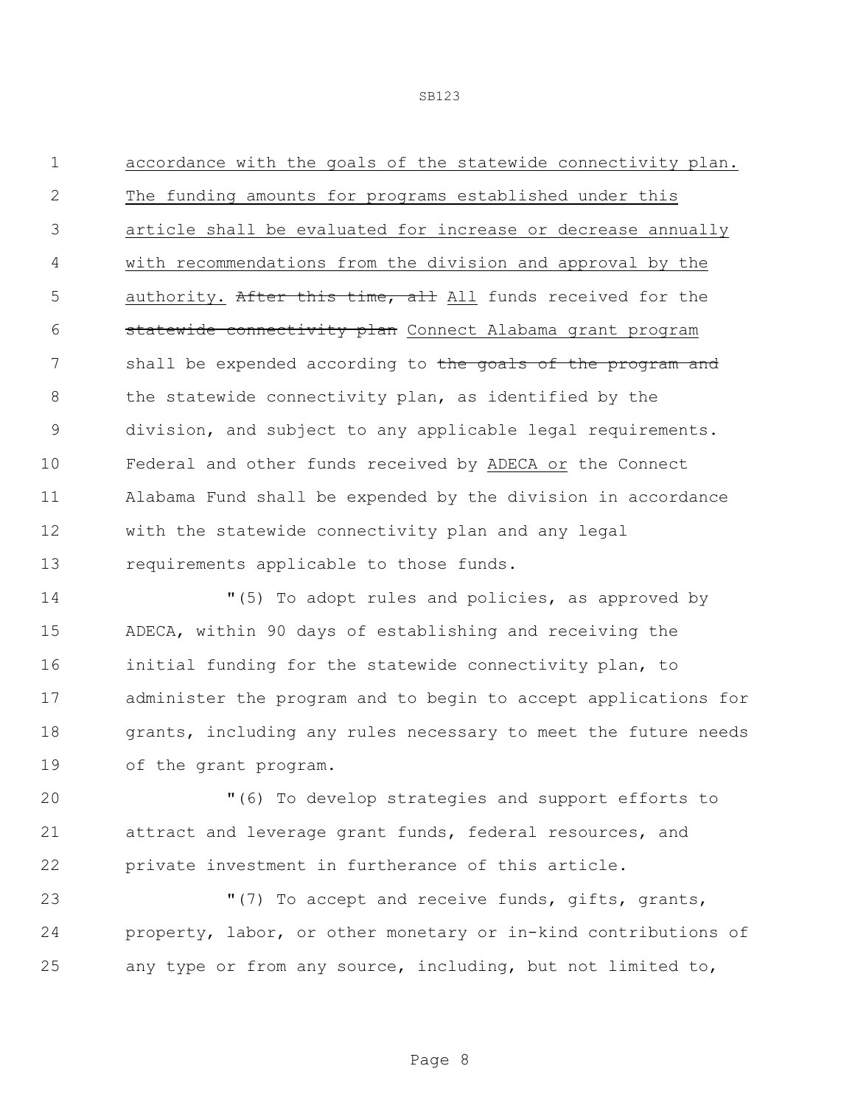SB123

 accordance with the goals of the statewide connectivity plan. The funding amounts for programs established under this article shall be evaluated for increase or decrease annually with recommendations from the division and approval by the 5 authority. After this time, all All funds received for the **statewide connectivity plan** Connect Alabama grant program 7 shall be expended according to the goals of the program and 8 the statewide connectivity plan, as identified by the division, and subject to any applicable legal requirements. Federal and other funds received by ADECA or the Connect Alabama Fund shall be expended by the division in accordance with the statewide connectivity plan and any legal requirements applicable to those funds.

 "(5) To adopt rules and policies, as approved by ADECA, within 90 days of establishing and receiving the initial funding for the statewide connectivity plan, to administer the program and to begin to accept applications for grants, including any rules necessary to meet the future needs of the grant program.

 "(6) To develop strategies and support efforts to attract and leverage grant funds, federal resources, and private investment in furtherance of this article.

 "(7) To accept and receive funds, gifts, grants, property, labor, or other monetary or in-kind contributions of any type or from any source, including, but not limited to,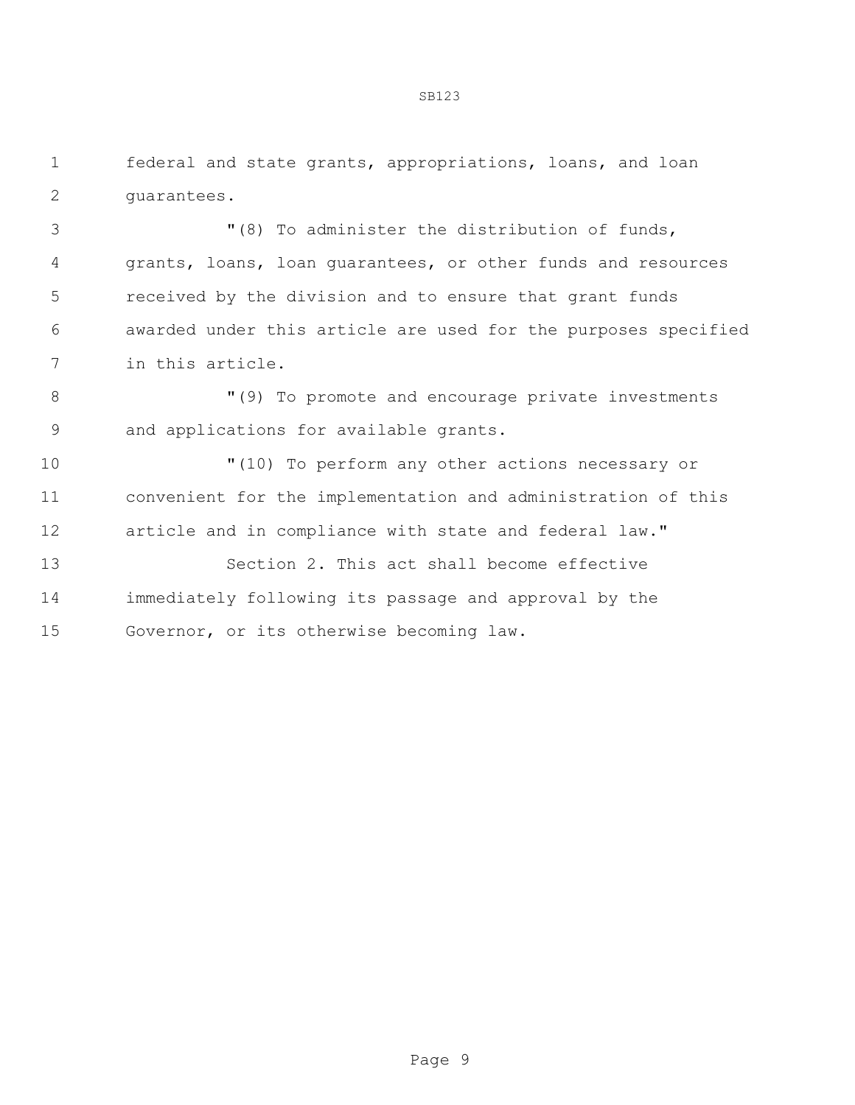federal and state grants, appropriations, loans, and loan guarantees.

 "(8) To administer the distribution of funds, grants, loans, loan guarantees, or other funds and resources received by the division and to ensure that grant funds awarded under this article are used for the purposes specified in this article.

8 "(9) To promote and encourage private investments and applications for available grants.

 "(10) To perform any other actions necessary or convenient for the implementation and administration of this article and in compliance with state and federal law."

 Section 2. This act shall become effective immediately following its passage and approval by the Governor, or its otherwise becoming law.